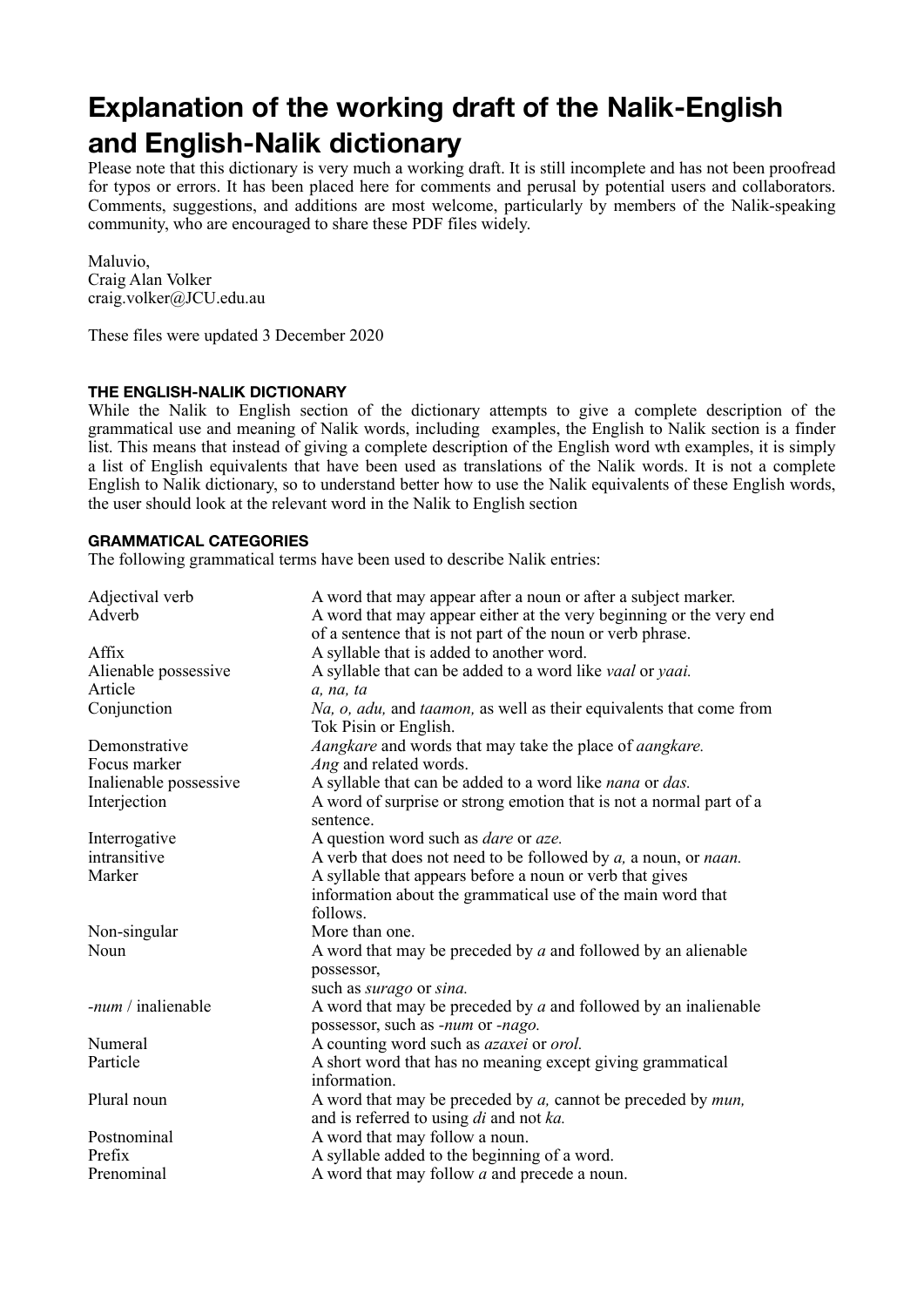# **Explanation of the working draft of the Nalik-English and English-Nalik dictionary**

Please note that this dictionary is very much a working draft. It is still incomplete and has not been proofread for typos or errors. It has been placed here for comments and perusal by potential users and collaborators. Comments, suggestions, and additions are most welcome, particularly by members of the Nalik-speaking community, who are encouraged to share these PDF files widely.

Maluvio, Craig Alan Volker craig.volker@JCU.edu.au

These files were updated 3 December 2020

### **THE ENGLISH-NALIK DICTIONARY**

While the Nalik to English section of the dictionary attempts to give a complete description of the grammatical use and meaning of Nalik words, including examples, the English to Nalik section is a finder list. This means that instead of giving a complete description of the English word wth examples, it is simply a list of English equivalents that have been used as translations of the Nalik words. It is not a complete English to Nalik dictionary, so to understand better how to use the Nalik equivalents of these English words, the user should look at the relevant word in the Nalik to English section

#### **GRAMMATICAL CATEGORIES**

The following grammatical terms have been used to describe Nalik entries:

| Adjectival verb        | A word that may appear after a noun or after a subject marker.                                                                      |
|------------------------|-------------------------------------------------------------------------------------------------------------------------------------|
| Adverb                 | A word that may appear either at the very beginning or the very end<br>of a sentence that is not part of the noun or verb phrase.   |
| Affix                  | A syllable that is added to another word.                                                                                           |
| Alienable possessive   | A syllable that can be added to a word like <i>vaal</i> or <i>yaai</i> .                                                            |
| Article                | a, na, ta                                                                                                                           |
| Conjunction            | Na, o, adu, and taamon, as well as their equivalents that come from<br>Tok Pisin or English.                                        |
| Demonstrative          | Aangkare and words that may take the place of aangkare.                                                                             |
| Focus marker           | Ang and related words.                                                                                                              |
| Inalienable possessive | A syllable that can be added to a word like nana or das.                                                                            |
| Interjection           | A word of surprise or strong emotion that is not a normal part of a<br>sentence.                                                    |
| Interrogative          | A question word such as <i>dare</i> or <i>aze</i> .                                                                                 |
| intransitive           | A verb that does not need to be followed by $a$ , a noun, or <i>naan</i> .                                                          |
| Marker                 | A syllable that appears before a noun or verb that gives<br>information about the grammatical use of the main word that<br>follows. |
| Non-singular           | More than one.                                                                                                                      |
| Noun                   | A word that may be preceded by $a$ and followed by an alienable<br>possessor,                                                       |
|                        | such as <i>surago</i> or <i>sina</i> .                                                                                              |
| $-num /$ inalienable   | A word that may be preceded by $a$ and followed by an inalienable                                                                   |
|                        | possessor, such as -num or -nago.                                                                                                   |
| Numeral                | A counting word such as <i>azaxei</i> or <i>orol</i> .                                                                              |
| Particle               | A short word that has no meaning except giving grammatical<br>information.                                                          |
| Plural noun            | A word that may be preceded by $a$ , cannot be preceded by $mun$ ,<br>and is referred to using di and not ka.                       |
| Postnominal            | A word that may follow a noun.                                                                                                      |
| Prefix                 | A syllable added to the beginning of a word.                                                                                        |
| Prenominal             | A word that may follow <i>a</i> and precede a noun.                                                                                 |
|                        |                                                                                                                                     |